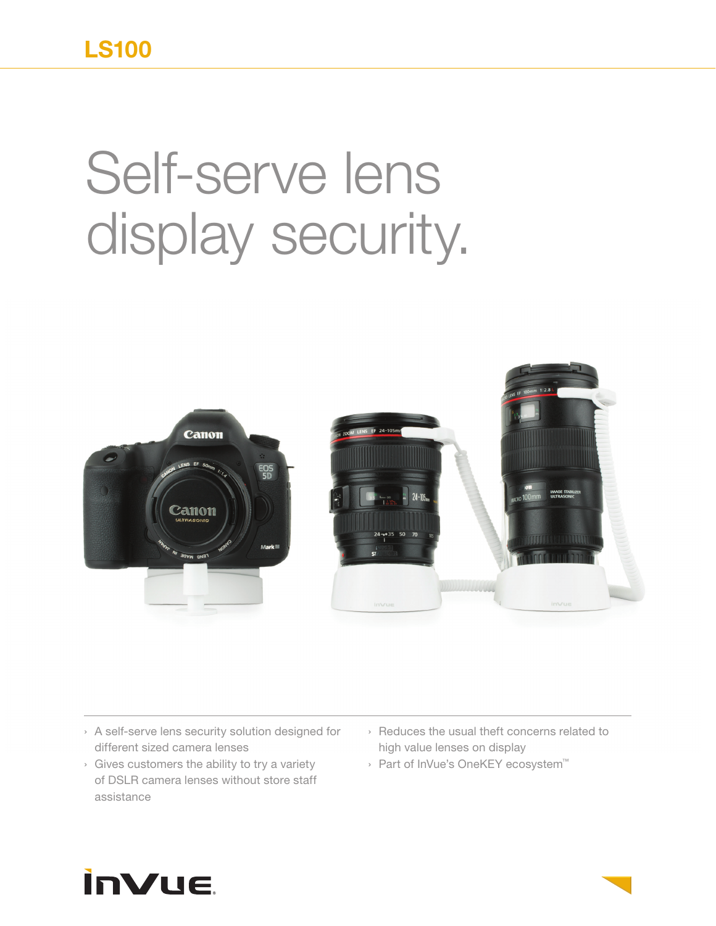## **LS100**

## Self-serve lens display security.



- › A self-serve lens security solution designed for different sized camera lenses
- › Gives customers the ability to try a variety of DSLR camera lenses without store staff assistance
- › Reduces the usual theft concerns related to high value lenses on display
- › Part of InVue's OneKEY ecosystem™

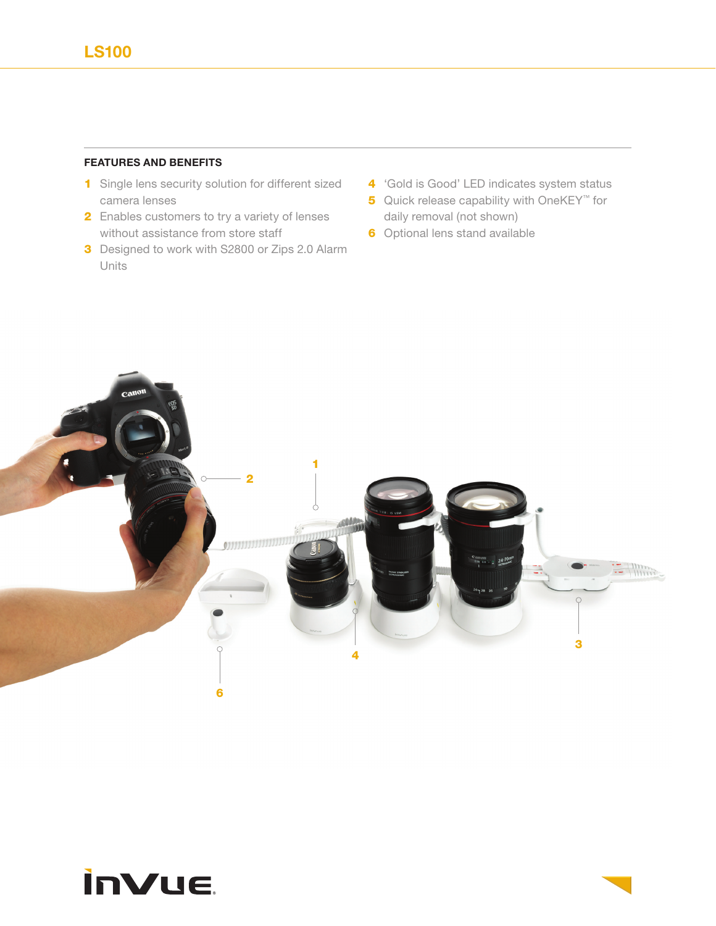## **FEATURES AND BENEFITS**

- 1 Single lens security solution for different sized camera lenses
- 2 Enables customers to try a variety of lenses without assistance from store staff
- **3** Designed to work with S2800 or Zips 2.0 Alarm Units
- 4 'Gold is Good' LED indicates system status
- **5** Quick release capability with OneKEY<sup>™</sup> for daily removal (not shown)
- **6** Optional lens stand available



## **inVue**